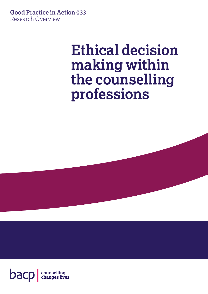**Good Practice in Action 033** Research Overview

# **Ethical decision making within the counselling professions**

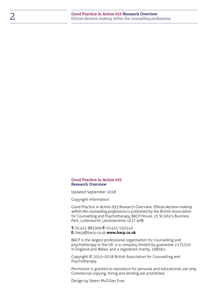#### **Good Practice in Action 033 Research Overview**

Updated September 2018

Copyright information:

Good Practice in Action 033 Research Overview: *Ethical decision making within the counselling professions* is published by the British Association for Counselling and Psychotherapy, BACP House, 15 St John's Business Park, Lutterworth, Leicestershire, LE17 4HB.

**T:** 01455 883300 **F:** 01455 550243 **E:** [bacp@bacp.co.uk](mailto:bacp%40bacp.co.uk?subject=) **[www.bacp.co.uk](http://www.bacp.co.uk)**

BACP is the largest professional organisation for counselling and psychotherapy in the UK, is a company limited by guarantee 2175320 in England and Wales, and a registered charity, 298361.

Copyright © 2015–2018 British Association for Counselling and Psychotherapy.

Permission is granted to reproduce for personal and educational use only. Commercial copying, hiring and lending are prohibited.

Design by Steers McGillan Eves.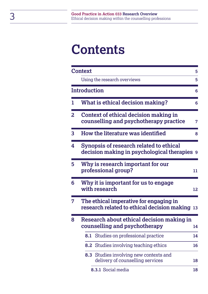# **Contents**

|   | <b>Context</b>                                                                           |                                                                            | 5  |  |
|---|------------------------------------------------------------------------------------------|----------------------------------------------------------------------------|----|--|
|   |                                                                                          | Using the research overviews                                               | 5  |  |
|   | Introduction                                                                             |                                                                            | 6  |  |
| 1 |                                                                                          | What is ethical decision making?                                           | 6  |  |
| 2 | Context of ethical decision making in<br>counselling and psychotherapy practice          |                                                                            |    |  |
| 3 |                                                                                          | How the literature was identified                                          | 8  |  |
| 4 | Synopsis of research related to ethical<br>decision making in psychological therapies 9  |                                                                            |    |  |
| 5 | Why is research important for our<br>professional group?<br>11                           |                                                                            |    |  |
| 6 |                                                                                          | Why it is important for us to engage<br>with research                      | 12 |  |
| 7 | The ethical imperative for engaging in<br>research related to ethical decision making 13 |                                                                            |    |  |
| 8 | Research about ethical decision making in<br>counselling and psychotherapy<br>14         |                                                                            |    |  |
|   |                                                                                          | 8.1 Studies on professional practice                                       | 14 |  |
|   |                                                                                          | <b>8.2</b> Studies involving teaching ethics                               | 16 |  |
|   |                                                                                          | 8.3 Studies involving new contexts and<br>delivery of counselling services | 18 |  |
|   |                                                                                          | 8.3.1 Social media                                                         | 18 |  |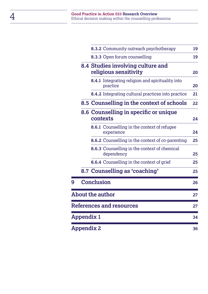|                                 |            | 8.3.2 Community outreach psychotherapy                              | 19              |  |
|---------------------------------|------------|---------------------------------------------------------------------|-----------------|--|
|                                 |            | 8.3.3 Open forum counselling                                        | 19              |  |
|                                 |            | 8.4 Studies involving culture and<br>religious sensitivity          | 20              |  |
|                                 |            | <b>8.4.1</b> Integrating religion and spirituality into<br>practice | 20              |  |
|                                 |            | 8.4.2 Integrating cultural practices into practice                  | 21              |  |
|                                 |            | 8.5 Counselling in the context of schools                           | 22 <sub>2</sub> |  |
|                                 |            | 8.6 Counselling in specific or unique<br>contexts                   | 24              |  |
|                                 |            | <b>8.6.1</b> Counselling in the context of refugee<br>experience    | 24              |  |
|                                 |            | <b>8.6.2</b> Counselling in the context of co-parenting             | 25              |  |
|                                 |            | <b>8.6.3</b> Counselling in the context of chemical<br>dependency   | 25              |  |
|                                 |            | 8.6.4 Counselling in the context of grief                           | 25              |  |
|                                 |            | 8.7 Counselling as 'coaching'                                       | 25              |  |
| 9                               |            | <b>Conclusion</b>                                                   | 26              |  |
| <b>About the author</b><br>27   |            |                                                                     |                 |  |
| <b>References and resources</b> |            |                                                                     |                 |  |
|                                 | Appendix 1 |                                                                     | 34              |  |
| <b>Appendix 2</b><br>36         |            |                                                                     |                 |  |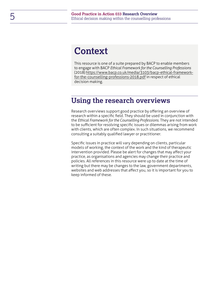## <span id="page-4-0"></span>**Context**

This resource is one of a suite prepared by BACP to enable members to engage with BACP *Ethical Framework for the Counselling Professions* (2018) [https://www.bacp.co.uk/media/3103/bacp-ethical-framework](https://www.bacp.co.uk/media/3103/bacp-ethical-framework-for-the-counselling-professions-2018.pdf)[for-the-counselling-professions-2018.pdf](https://www.bacp.co.uk/media/3103/bacp-ethical-framework-for-the-counselling-professions-2018.pdf) in respect of ethical decision making.

## <span id="page-4-1"></span>**Using the research overviews**

Research overviews support good practice by offering an overview of research within a specific field. They should be used in conjunction with the *Ethical Framework for the Counselling Professions*. They are not intended to be sufficient for resolving specific issues or dilemmas arising from work with clients, which are often complex. In such situations, we recommend consulting a suitably qualified lawyer or practitioner.

Specific issues in practice will vary depending on clients, particular models of working, the context of the work and the kind of therapeutic intervention provided. Please be alert for changes that may affect your practice, as organisations and agencies may change their practice and policies. All references in this resource were up to date at the time of writing but there may be changes to the law, government departments, websites and web addresses that affect you, so it is important for you to keep informed of these.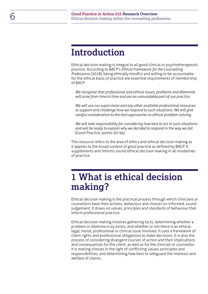## <span id="page-5-0"></span>**Introduction**

Ethical decision making is integral to all good clinical or psychotherapeutic practice. According to BACP's *Ethical Framework for the Counselling Professions* (2018), being ethically mindful and willing to be accountable for the ethical basis of practice are essential requirements of membership of BACP.

*We recognise that professional and ethical issues, problems and dilemmas will arise from time to time and are an unavoidable part of our practice.* 

*We will use our supervision and any other available professional resources to support and challenge how we respond to such situations. We will give careful consideration to the best approaches to ethical problem-solving.* 

*We will take responsibility for considering how best to act in such situations and will be ready to explain why we decided to respond in the way we did.*  (Good Practice, points 92-94)

This resource refers to the area of ethics and ethical decision making as it applies to the broad context of good practice as defined by BACP. It supplements and informs sound ethical decision making in all modalities of practice.

## <span id="page-5-1"></span>**1 What is ethical decision making?**

Ethical decision making is the practical process through which clinicians or counsellors base their actions, behaviour and choices on informed, sound judgement. It draws on values, principles and standards of behaviour that inform professional practice.

Ethical decision making involves gathering facts, determining whether a problem or dilemma truly exists, and whether or not there is an ethical, legal, moral, professional or clinical issue involved. It uses a framework of client rights and professional obligations to make decisions. It is also the process of considering divergent courses of action and their implications and consequences for the client, as well as for the clinician or counsellor. It is making choices in the light of conflicting values, principles and responsibilities, and determining how best to safeguard the interests and welfare of clients.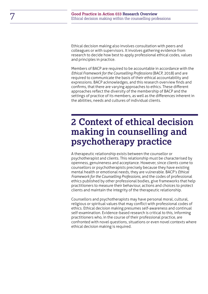Ethical decision making also involves consultation with peers and colleagues or with supervisors. It involves gathering evidence from research to decide how best to apply professional ethical codes, values and principles in practice.

Members of BACP are required to be accountable in accordance with the *Ethical Framework for the Counselling Professions* (BACP, 2018) and are required to communicate the basis of their ethical accountability and expressions. BACP acknowledges, and this research overview finds and confirms, that there are varying approaches to ethics. These different approaches reflect the diversity of the membership of BACP and the settings of practice of its members, as well as the differences inherent in the abilities, needs and cultures of individual clients.

## <span id="page-6-0"></span>**2 Context of ethical decision making in counselling and psychotherapy practice**

A therapeutic relationship exists between the counsellor or psychotherapist and clients. This relationship must be characterised by openness, genuineness and acceptance. However, since clients come to counsellors or psychotherapists precisely because they have existing mental health or emotional needs, they are vulnerable. BACP's *Ethical Framework for the Counselling Professions*, and the codes of professional ethics published by other professional bodies, give frameworks that help practitioners to measure their behaviour, actions and choices to protect clients and maintain the integrity of the therapeutic relationship.

Counsellors and psychotherapists may have personal moral, cultural, religious or spiritual values that may conflict with professional codes of ethics. Ethical decision making presumes self-awareness and continual self-examination. Evidence-based research is critical to this, informing practitioners who, in the course of their professional practice, are confronted with novel questions, situations or even novel contexts where ethical decision making is required.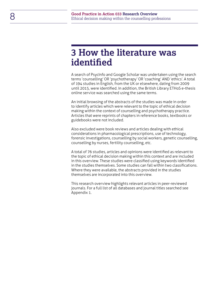## <span id="page-7-0"></span>**3 How the literature was identified**

A search of PsycInfo and Google Scholar was undertaken using the search terms 'counselling' OR 'psychotherapy' OR 'coaching' AND 'ethics'. A total of 194 studies in English, from the UK or elsewhere, dating from 2009 until 2015, were identified. In addition, the British Library ETHoS e-thesis online service was searched using the same terms.

An initial browsing of the abstracts of the studies was made in order to identify articles which were relevant to the topic of ethical decision making within the context of counselling and psychotherapy practice. Articles that were reprints of chapters in reference books, textbooks or guidebooks were not included.

Also excluded were book reviews and articles dealing with ethical considerations in pharmacological prescriptions, use of technology, forensic investigations, counselling by social workers, genetic counselling, counselling by nurses, fertility counselling, etc.

A total of 76 studies, articles and opinions were identified as relevant to the topic of ethical decision making within this context and are included in this overview. These studies were classified using keywords identified in the studies themselves. Some studies can fall within two classifications. Where they were available, the abstracts provided in the studies themselves are incorporated into this overview.

This research overview highlights relevant articles in peer-reviewed journals. For a full list of all databases and journal titles searched see Appendix 1.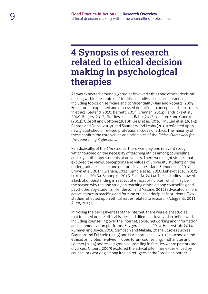## <span id="page-8-0"></span>**4 Synopsis of research related to ethical decision making in psychological therapies**

As was expected, around 13 studies involved ethics and ethical decision making within the context of traditional individual clinical practice, including topics on self-care and confidentiality (Jain and Roberts, 2009). Four studies explained and discussed definitions, concepts and constructs in ethics (Barland, 2010; Barnett, 2014; Brennan, 2013; Hendricks et al., 2009; Rogers, 2013). Studies such as Babb (2013); du Preez and Goedke (2013); Glosoff and Cottone (2010); Kress et al. (2010); Mullen et al. (2014); Ponton and Duba (2009), and Saunders and Leahy (2010) reflected upon newly published or revised professional codes of ethics. The majority of these confirm the core values and principles of the *Ethical Framework for the Counselling Professions*.

Paradoxically, of the 194 studies, there was only one relevant study which touched on the necessity of teaching ethics among counselling and psychotherapy students at university. There were eight studies that explored the views, perceptions and values of university students on the undergraduate, master and doctoral levels (Barland Edmondson, 2010; Brown et al., 2014; Graham, 2013; Lambie et al., 2010; Lehavot et al., 2010; Luke et al., 2013a; Schoepke, 2013; Zakaria, 2014). These studies showed a lack of understanding in respect of ethical principles, which may be the reason why the one study on teaching ethics among counselling and psychotherapy students (Henderson and Malone, 2012) advocated a more active stance in teaching and forming ethical principles in students. Two studies reflected upon ethical issues related to research (Allegranti, 2011; Allen, 2013).

Mirroring the pervasiveness of the internet, there were eight studies that touched on the ethical issues and dilemmas involved in online work, including counselling over the internet, social networking and information and communication platforms (Fitzgerald et al., 2010, Haberstroh, 2014; Rummel and Joyce, 2010; Sampson and Makela, 2014). Studies such as Garrison and Eckstein (2013) and Hartshorne et al. (2010) touched on the ethical principles involved in open forum counselling. Fridhandler and Lehmer (2014) addressed group counselling in families where parents are divorced. Gilbert (2009) explored the ethical dilemmas experienced by counsellors working among Iranian refugees at the Jordanian border.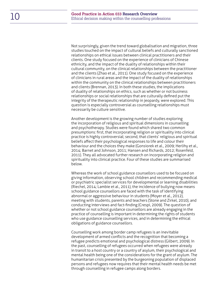Not surprisingly, given the trend toward globalisation and migration, three studies touched on the impact of cultural beliefs and culturally sanctioned relationships on ethical issues between clinical practitioners and their clients. One study focused on the experience of clinicians of Chinese ethnicity, and the impact of the duality of relationships within their cultural community, on the clinical relationships between the practitioner and the clients (Zhao et al., 2011). One study focused on the experience of clinicians in rural areas and the impact of the duality of relationships within the community on the clinical relationships between practitioners and clients (Brennan, 2013). In both these studies, the implications of duality of relationships on ethics, such as whether or not business relationships or social relationships that are culturally defined put the integrity of the therapeutic relationship in jeopardy, were explored. This question is especially controversial as counselling relationships must necessarily be culture sensitive.

Another development is the growing number of studies exploring the incorporation of religious and spiritual dimensions in counselling and psychotherapy. Studies were found which shared two common presumptions: first, that incorporating religion or spirituality into clinical practice is highly controversial; second, that clients' religious and spiritual beliefs affect their psychological responses to life and colour their behaviour and the choices they make (Gonsiorek et al., 2009; Herlihy et al., 2014; Barnet and Johnson, 2011; Hansen and Richards, 2012; Rosenfeld, 2011). They all advocated further research on incorporating religion and spirituality into clinical practice. Four of these studies are summarised below.

Whereas the work of school guidance counsellors used to be focused on giving information, observing school children and recommending medical or psychiatric specialist services for developmental or learning disabilities (Riechel, 2014; Lambie et al., 2011), the incidence of bullying now means school guidance counsellors are faced with the task of identifying abnormal or aggressive behaviour in students (Moyer et al., 2012), meeting with students, parents and teachers (Stone and Zirkel, 2010), and conducting interviews and fact-finding (Crespi, 2009). The question of whether or not school guidance counsellors are already engaging in the practice of counselling is important in determining the rights of students who use guidance counselling services, and in determining the ethical obligations of guidance counsellors.

Counselling work among border camp refugees is an inevitable development of armed conflicts and the recognition that becoming a refugee predicts emotional and psychological distress (Gilbert, 2009). In the past, counselling of refugees occurred when refugees were already in transit to a host country or a country of asylum, their psychological and mental health being one of the considerations for the grant of asylum. The humanitarian crisis presented by the burgeoning population of displaced persons and refugees now requires that their mental health needs be met through counselling in refugee camps along borders.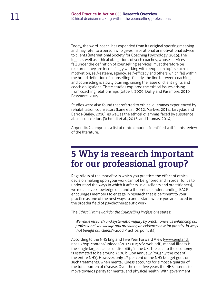Today, the word 'coach' has expanded from its original sporting meaning and may refer to a person who gives inspirational or motivational advice to clients (International Society for Coaching Psychology, 2015). The legal as well as ethical obligations of such coaches, whose services fall under the definition of counselling services, must therefore be explored; they are increasingly working with people on topics such as motivation, self-esteem, agency, self-efficacy and others which fall within the broad definition of counselling. Clearly, the line between coaching and counselling is slowly blurring, raising the issue of client rights and coach obligations. Three studies explored the ethical issues arising from coaching relationships (Gilbert, 2009; Duffy and Passmore, 2010; Passmore, 2009).

Studies were also found that referred to ethical dilemmas experienced by rehabilitation counsellors (Lane et al., 2012; Markve, 2014; Tarvydas and Barros-Bailey, 2010), as well as the ethical dilemmas faced by substance abuse counsellors (Schmidt et al., 2013; and Thomas, 2014).

Appendix 2 comprises a list of ethical models identified within this review of the literature.

## <span id="page-10-0"></span>**5 Why is research important for our professional group?**

Regardless of the modality in which you practice, the effect of ethical decision making upon your work cannot be ignored and in order for us to understand the ways in which it affects us all (clients and practitioners), we must have knowledge of it and a theoretical understanding. BACP encourages members to engage in research that is pertinent to your practice as one of the best ways to understand where you are placed in the broader field of psychotherapeutic work.

The *Ethical Framework for the Counselling Professions* states:

*We value research and systematic inquiry by practitioners as enhancing our professional knowledge and providing an evidence base for practice in ways that benefit our clients'* (Good Practice, point 84).

According to the NHS England Five Year Forward View ([www.england.](http://www.england.nhs.uk/wp-content/uploads/2014/10/5yfv-web.pdf) [nhs.uk/wp-content/uploads/2014/10/5yfv-web.pdf](http://www.england.nhs.uk/wp-content/uploads/2014/10/5yfv-web.pdf)), mental illness is the single largest cause of disability in the UK. The cost to the economy is estimated to be around £100 billion annually (roughly the cost of the entire NHS). However, only 13 per cent of the NHS budget goes on such treatments, when mental illness accounts for almost a quarter of the total burden of disease. Over the next five years the NHS intends to move towards parity for mental and physical health. With government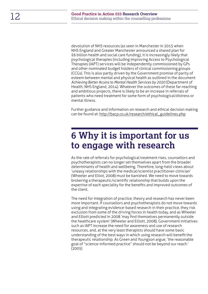devolution of NHS resources (as seen in Manchester in 2015 when NHS England and Greater Manchester announced a shared plan for £6 billion health and social care funding), it is increasingly likely that psychological therapies (including Improving Access to Psychological Therapies (IAPT) services will be independently commissioned by GPs and other nominated budget holders of clinical commissioning groups (CCGs). This is also partly driven by the Government promise of parity of esteem between mental and physical health as outlined in the document *Achieving Better Access to Mental Health Services by 2020* (Department of Health, NHS England, 2014). Whatever the outcomes of these far-reaching and ambitious projects, there is likely to be an increase in referrals of patients who need treatment for some form of psychological/distress or mental illness.

Further guidance and information on research and ethical decision making can be found at: [http://bacp.co.uk/research/ethical\\_guidelines.php](http://bacp.co.uk/research/ethical_guidelines.php)

## <span id="page-11-0"></span>**6 Why it is important for us to engage with research**

As the rate of referrals for psychological treatment rises, counsellors and psychotherapists can no longer set themselves apart from the broader determinants of health and wellbeing. Therefore, long-held views about 'uneasy relationships with the medical/scientist practitioner-clinician' (Wheeler and Elliot, 2008) must be banished. We need to move towards brokering a therapeutic/scientific relationship that builds upon the expertise of each speciality for the benefits and improved outcomes of the client.

The need for integration of practice, theory and research has never been more important. If counsellors and psychotherapists do not move towards using and integrating evidence-based research in their practice, they risk exclusion from some of the driving forces in health today, and as Wheeler and Elliott predicted in 2008 'may find themselves permanently outside the healthcare system' (Wheeler and Elliott, 2008). Government initiatives such as IAPT increase the need for awareness and use of research resources, and, at the very least therapists should have some basic understanding of the best ways in which using research will benefit the therapeutic relationship. As Green and Youngson argue, 'the reasonable goal of "science-informed practice" should not be beyond our reach.' (2005)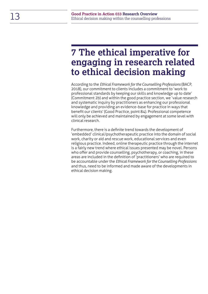## <span id="page-12-0"></span>**7 The ethical imperative for engaging in research related to ethical decision making**

According to the *Ethical Framework for the Counselling Professions* (BACP, 2018), our commitment to clients includes a commitment to 'work to professional standards by keeping our skills and knowledge up to date' (Commitment 2b) and within the good practice section, we 'value research and systematic inquiry by practitioners as enhancing our professional knowledge and providing an evidence-base for practice in ways that benefit our clients' (Good Practice, point 84). Professional competence will only be achieved and maintained by engagement at some level with clinical research.

Furthermore, there is a definite trend towards the development of 'embedded' clinical/psychotherapeutic practice into the domain of social work, charity or aid and rescue work, educational services and even religious practice. Indeed, online therapeutic practice through the internet is a fairly new trend where ethical issues presented may be novel. Persons who offer and provide counselling, psychotherapy, or coaching, in these areas are included in the definition of 'practitioners' who are required to be accountable under the *Ethical Framework for the Counselling Professions* and thus, need to be informed and made aware of the developments in ethical decision making.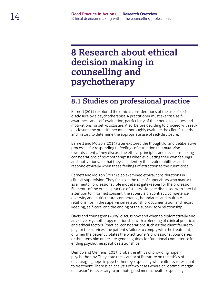## <span id="page-13-0"></span>**8 Research about ethical decision making in counselling and psychotherapy**

### <span id="page-13-1"></span>**8.1 Studies on professional practice**

Barnett (2011) explored the ethical considerations of the use of selfdisclosure by a psychotherapist. A practitioner must exercise selfawareness and self-evaluation, particularly of their personal values and motivations for self-disclosure. Also, before deciding to proceed with selfdisclosure, the practitioner must thoroughly evaluate the client's needs and history to determine the appropriate use of self-disclosure.

Barnett and Molzon (2014) later explored the thoughtful and deliberative processes for responding to feelings of attraction that may arise towards clients. They discuss the ethical principles and decision-making considerations of psychotherapists when evaluating their own feelings and motivations, so that they can identify their vulnerabilities and respond ethically when these feelings of attraction to the client arise.

Barnett and Molzon (2014) also examined ethical considerations in clinical supervision. They focus on the role of supervisors who may act as a mentor, professional role model and gatekeeper for the profession. Elements of the ethical practice of supervision are discussed with special attention to informed consent, the supervision contract, competence, diversity and multicultural competence, boundaries and multiple relationships in the supervision relationship, documentation and record keeping, self-care, and the ending of the supervisory relationship.

Davis and Younggren (2009) discuss how and when to diplomatically end an active psychotherapy relationship with a blending of clinical practical and ethical factors. Practical considerations such as: the client failure to pay for the services, the patient's failure to comply with the treatment, or when the patient violates the practitioner's professional boundaries or threatens him or her, are general guides for functional competence in ending psychotherapeutic relationships.

Dembo and Clemens (2013) probe the ethics of providing hope in psychotherapy. They note the scarcity of literature on the ethics of encouraging hope in psychotherapy, especially where illness is resistant to treatment. There is an analysis of two cases where an 'optimal margin of illusion' is necessary to promote good mental health, especially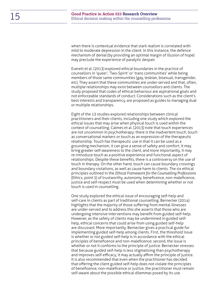when there is contextual evidence that stark realism is correlated with mild to moderate depression in the client. In this instance, the defence mechanism of denial (by providing an optimal margin of illusion of hope) may preclude the experience of paralytic despair.

Everett et al. (2013) explored ethical boundaries in the practice of counsellors in 'queer', 'Two-Spirit' or 'trans communities' while being members of those same communities (gay, lesbian, bisexual, transgender, etc). They assert that these communities are under-served and that, often, multiple relationships may exist between counsellors and clients. The study proposed that codes of ethical behaviour are aspirational goals and not enforceable standards of conduct. Considerations such as the client's best interests and transparency, are proposed as guides to managing dual or multiple relationships.

Eight of the 13 studies explored relationships between clinical practitioners and their clients, including one study which explored the ethical issues that may arise when physical touch is used within the context of counselling. Calmes et al. (2013) note that touch experiences are not uncommon in psychotherapy: there is the inadvertent touch, touch as conversational markers or touch as an expression of the therapeutic relationship. Touch has therapeutic use in that it can be used as a grounding mechanism, it can give a sense of safety and comfort, it may bring greater self-awareness to the client, and more importantly, it may re-introduce touch as a positive experience and functional aspect of relationships. Despite these benefits, there is a controversy on the use of touch in therapy. On the other hand, touch can cause boundary crossings and boundary violations, as well as cause harm to clients. The six ethical principles outlined in the *Ethical Framework for the Counselling Professions* (Ethics, point 5) of trustworthy, autonomy, beneficence, non-maleficence, justice and self-respect must be used when determining whether or not touch is used in counselling.

One study explored the ethical issue of encouraging self-help and self-care in clients as part of traditional counselling. Bernecker (2014) highlights that the majority of those suffering from mental illnesses are under-served and to address this she asserts that those who are undergoing intensive interventions may benefit from guided self-help. However, as the safety of clients may be undermined in guided selfhelp, ethical concerns that could arise from using guided self-help are discussed. More importantly, Bernecker gives a practical guide for implementing guided self-help among clients. First, the threshold issue is whether or not guided self-help is in accordance with the ethical principles of beneficence and non-maleficence; second, the issue is whether or not it conforms to the principle of justice. Bernecker stresses that because guided self-help is less stigmatising than psychotherapy and improves self-efficacy, it may actually affirm the principle of justice. It is also recommended that even when the practitioner has decided that offering the client guided self-help does not violate the principles of beneficence, non-maleficence or justice, the practitioner must remain self-aware about the possible ethical dilemmas posed by its use.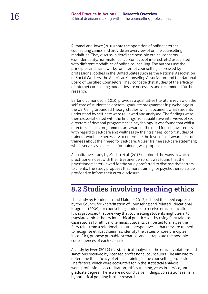Rummel and Joyce (2010) note the operation of online internet counselling clinics and provide an overview of online counselling modalities. They discuss in detail the possible ethical concerns (confidentiality, non-maleficence, conflicts of interest, etc.) associated with different modalities of online counselling. The authors use the principles and frameworks for internet counselling expressed by professional bodies in the United States such as the National Association of Social Workers, the American Counseling Association, and the National Board of Certified Counselors. They concede that studies of the efficacy of internet counselling modalities are necessary and recommend further research.

Barland Edmondson (2010) provides a qualitative literature review on the self-care of students in doctoral graduate programmes in psychology in the US. Using Grounded Theory, studies which document what students understand by self-care were reviewed and analysed. The findings were then cross-validated with the findings from qualitative interviews of six directors of doctoral programmes in psychology. It was found that whilst directors of such programmes are aware of the need for self- awareness with regard to self-care and wellness by their trainees; cohort studies of trainees would be necessary to determine the level of self-awareness of trainees about their need for self-care. A clear trainee self-care statement; which serves as a checklist for trainees, was proposed.

A qualitative study by Medau et al. (2013) explored the ways in which practitioners deal with their treatment errors. It was found that the practitioners interviewed for the study preferred to disclose their errors to clients. The study proposes that more training for psychotherapists be provided to inform their error disclosure.

## <span id="page-15-0"></span>**8.2 Studies involving teaching ethics**

The study by Henderson and Malone (2012) echoed the need expressed by the Council for Accreditation of Counseling and Related Educational Programs (2009) for counselling students to receive ethics education. It was proposed that one way that counselling students might learn to translate ethical theory into ethical practice was by using fairy tales as case studies for ethical dilemmas. Students can be led to analyse the fairy tales from a relational–culture perspective so that they are trained to recognise ethical dilemmas, identify the values or core principles in conflict, propose probable scenarios, and extrapolate the possible consequences of each scenario.

A study by Even (2012) is a statistical analysis of the ethical violations and sanctions received by licensed professional counsellors. The aim was to determine the efficacy of ethical training in the counselling profession. The factors, which were accounted for in the statistical analysis, were: professional accreditation, ethics training, years in service, and graduate degree. There were no conclusive findings; correlations remain hypothetical pending further research.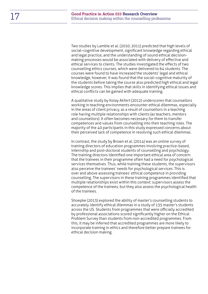Two studies by Lambie et al. (2010; 2011) predicted that high levels of social–cognitive development, significant knowledge regarding ethical and legal practice, and the understanding of sound ethical decisionmaking processes would be associated with delivery of effective and ethical services to clients. The studies investigated the effects of two counselling ethics courses, which were delivered to 64 students. The courses were found to have increased the students' legal and ethical knowledge, however, it was found that the social–cognitive maturity of the students before taking the course also predicted high ethical and legal knowledge scores. This implies that skills in identifying ethical issues and ethical conflicts can be gained with adequate training.

A qualitative study by Kolay Akfert (2012) underscores that counsellors working in teaching environments encounter ethical dilemmas, especially in the areas of client privacy, as a result of counsellors in a teaching role having multiple relationships with clients (as teachers, mentors and counsellors). It often becomes necessary for them to transfer competences and values from counselling into their teaching roles. The majority of the 40 participants in this study expressed concerns about their perceived lack of competence in resolving such ethical dilemmas.

In contrast, the study by Brown et al. (2014) was an online survey of training directors of education programmes involving practice-based, internship and post-doctoral students of counselling and psychology. The training directors identified one important ethical area of concern: that the trainees in their programme often had a need for psychological services themselves. Thus, while training these students, the supervisors also perceive the trainees' needs for psychological services. This is over and above assessing trainees' ethical competence in providing counselling. The supervisors in these training programmes identified that multiple relationships exist within this context: supervisors assess the competence of the trainees, but they also assess the psychological health of the trainees.

Shoepke (2013) explored the ability of master's counselling students to accurately identify ethical dilemmas in a study of 135 master's students across the US. Students from programmes that were officially accredited by professional associations scored significantly higher on the Ethical Problem Survey than students from non-accredited programmes. From this, it may be inferred that accredited programmes are more likely to incorporate training in ethics and therefore better prepare trainees for ethical decision making.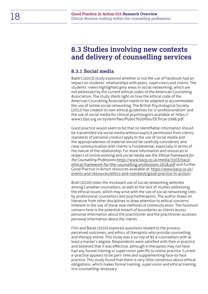### <span id="page-17-0"></span>**8.3 Studies involving new contexts and delivery of counselling services**

### <span id="page-17-1"></span>**8.3.1 Social media**

Babb's (2013) study explored whether or not the use of Facebook had an impact on students' relationships with peers, supervisors and clients. The students' views highlighted grey areas in social networking, which are not addressed by the current ethical codes of the American Counseling Association. The study sheds light on how the ethical code of the American Counseling Association needs to be adapted to accommodate the use of online social networking. The British Psychological Society (2012) has created its own ethical guidelines for 'e-professionalism' and the use of social media for clinical psychologists available at: https:// www1.bps.org.uk/system/files/Public%20files/DCP/cat-1096.pdf.

Good practice would seem to be that no identifiable information should be transmitted via social media without explicit permission from clients; standards of personal conduct apply to the use of social media and the appropriateness of material should be carefully considered; and clear communication with clients is fundamental, especially in terms of the nature of the relationship. For more information and resources in respect of online working and social media see the *Ethical Framework for the Counselling Professions* [https://www.bacp.co.uk/media/3103/bacp](https://www.bacp.co.uk/media/3103/bacp-ethical-framework-for-the-counselling-professions-2018.pdf)[ethical-framework-for-the-counselling-professions-2018.pdf](https://www.bacp.co.uk/media/3103/bacp-ethical-framework-for-the-counselling-professions-2018.pdf) and further Good Practice in Action resources available at: [https://www.bacp.co.uk/](https://www.bacp.co.uk/events-and-resources/ethics-and-standards/good-practice-in-action/) [events-and-resources/ethics-and-standards/good-practice-in-action/](https://www.bacp.co.uk/events-and-resources/ethics-and-standards/good-practice-in-action/).

Bratt (2010) notes the increased use of social networking websites among Canadian counsellors, as well as the lack of studies addressing the ethical issues, which may arise with the use of social networking sites by professional counsellors and psychotherapists. The author draws on literature from other disciplines to draw attention to ethical concerns inherent in the use of these new methods of communication. The foremost concern here is the potential breach of boundaries as clients access personal information about the practitioner and the practitioner accesses personal information about the clients.

Finn and Barak (2010) explored questions related to the process, perceived outcomes, and ethics of therapists who provide counselling and therapy online. This study was a survey of 93 e-counsellors with at least a master's degree. Respondents were satisfied with their e-practice and believed that it was effective, although e-therapists may not have had any formal training or supervision specific to online practice. Current e-practice appears to be part- time and supplementing face-to-face practice. This study found that there is very little consensus about ethical obligations, which makes formal training, supervision and ethical training in e-counselling necessary.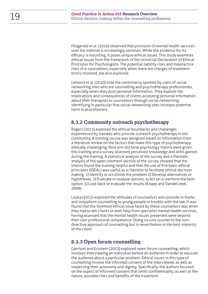Fitzgerald et al. (2010) observed that provision of mental health services over the internet is increasingly common. While the evidence for its efficacy is mounting, it poses unique ethical issues. This study examines ethical issues from the framework of the Universal Declaration of Ethical Principles for Psychologists. The potential liability risks and malpractice risks of e-counsellors, especially when there are charges of treatment errors involved, are also explored.

Lehavot et al. (2010) note the controversy sparked by users of social networking sites who are counselling and psychotherapy professionals, especially when they post personal information. They explore the implications and consequences of clients accessing personal information about their therapists or counsellors through social networking, identifying in particular that social networking sites increase potential harm to practitioners.

### <span id="page-18-0"></span>**8.3.2 Community outreach psychotherapy**

Rogers (2013) explored the ethical boundaries and challenges experienced by trainees who provide outreach psychotherapy in the community. A training course was designed based on information from a literature review on the factors that make this type of psychotherapy ethically challenging. Nine pre-doctoral psychology interns were given this training and a survey assessed perceived knowledge and skills gained during the training. A statistical analysis of the survey and a thematic analysis of the open comment section of the survey showed that the interns found the training helpful and that the use of five basic ethical principles (IDEAL) was useful as a checklist to facilitate ethical decision making: 1) Identify or scrutinise the problem 2) Develop alternatives or hypotheses, 3) Evaluate or analyse options, 4) Act on or perform the best option, 5) Look back or evaluate the results (Knapp and VandeCreek, 2006).

Lauka (2012) explored the attitudes of counsellors who provide in-home and outpatient counselling to young people in trouble with the law. It was found that the foremost ethical issue faced by these counsellors was when they had to tell clients to seek help from specialist mental health services, having assessed that the mental health issues presented were beyond their own professional competence. Doing so runs counter to the nondirective approach of counselling but is nevertheless in the best interests of the client.

### <span id="page-18-1"></span>**8.3.3 Open forum counselling**

Garrison and Eckstein (2013) explored open forum counselling, which involves interviewing an individual before an audience in order to educate the audience about a particular problem. Ethical issues in this type of counselling involve the informed consent of the interviewee, as well as respecting their autonomy and dignity. Specifically, the authors focused on the aspect of informed consent that limits confidentiality, as well as the nature, possible risks and benefits of the treatment.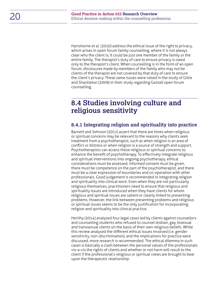Hartshorne et al. (2010) address the ethical issue of the right to privacy, which arises in open forum family counselling, where it is not always clear who the client is; it could be just one member of the family or the entire family. The therapist's duty of care to ensure privacy is owed only to the therapist's client. When counselling is in the form of an open forum, disclosures made by members of the family who may not be clients of the therapist are not covered by that duty of care to ensure the client's privacy. These same issues were raised in the study of Gillie and Shackleton (2009) in their study regarding Gestalt open forum counselling.

### <span id="page-19-0"></span>**8.4 Studies involving culture and religious sensitivity**

### <span id="page-19-1"></span>**8.4.1 Integrating religion and spirituality into practice**

Barnett and Johnson (2011) assert that there are times when religious or spiritual concerns may be relevant to the reasons why clients seek treatment from a psychotherapist, such as when religion is an area of conflict or distress or when religion is a source of strength and support. Psychotherapists can access these religious or spiritual concerns to enhance the benefit of psychotherapy. To effectively integrate religious and spiritual interventions into ongoing psychotherapy, ethical considerations must be assessed; informed consent must be given, there must be competence on the part of the psychotherapist, and there must be a clear expression of boundaries and co-operation with other professionals. Good judgement is recommended in integrating religion and spirituality into clinical work. Even when they are not particularly religious themselves, practitioners need to ensure that religious and spirituality issues are introduced when they have clients for whom religious and spiritual issues are salient or clearly linked to presenting problems. However, the link between presenting problems and religious or spiritual issues seems to be the only justification for incorporating religion and spirituality into clinical practice.

Herlihy (2014) analysed four legal cases led by clients against counsellors and counselling students who refused to counsel lesbian, gay, bisexual and transsexual clients on the basis of their own religious beliefs. While this review analysed the different ethical issues involved (i.e. gender sensitivity, non-discrimination), and the implications for practice were discussed, more research is recommended. The ethical dilemma in such cases is basically a clash between the personal values of the professionals vis-a-vis the rights of clients and whether or not harm will result to the client if the professional's religious or spiritual views are brought to bear upon the therapeutic relationship.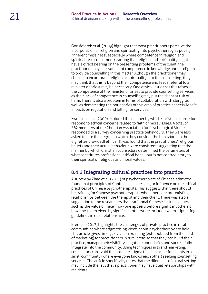Gonsiojorek et al. (2009) highlight that most practitioners perceive the incorporation of religion and spirituality into psychotherapy as posing 'inherent messiness', especially where competence in religion and spirituality is concerned. Granting that religion and spirituality might have a direct bearing on the presenting problems of the client, the practitioner may lack sufficient competence in knowledge about religion to provide counselling in this matter. Although the practitioner may choose to incorporate religion or spirituality into the counselling, they may think that this is beyond their competence and feel a referral to a minister or priest may be necessary. One ethical issue that this raises is the competence of the minister or priest to provide counselling services, as their lack of competence in counselling may put the client at risk of harm. There is also a problem in terms of collaboration with clergy, as well as demarcating the boundaries of this area of practice especially as it impacts on regulation and billing for services.

Swenson et al. (2009) explored the manner by which Christian counsellors respond to ethical concerns related to faith or moral issues. A total of 362 members of the Christian Association for Psychological Studies responded to a survey concerning practice behaviours. They were also asked to rate the degree to which they consider the behaviour (in the vignettes provided) ethical. It was found that the practitioners' religious beliefs and their actual behaviour were consistent, suggesting that the manner by which Christian counsellors determined the parameters of what constitutes professional ethical behaviour is not contradictory to their spiritual or religious and moral values.

### <span id="page-20-0"></span>**8.4.2 Integrating cultural practices into practice**

A survey by Zhao et al. (2011) of psychotherapists of Chinese ethnicity found that principles of Confucianism are a major influence on the ethical practices of Chinese psychotherapists. This suggests that there should be training for Chinese psychotherapists when there are pre-existing relationships between the therapist and their client. There was also a suggestion to the researchers that traditional Chinese cultural values, such as the value of 'face' (how one appears before significant others or how one is perceived by significant others), be included when stipulating guidelines in dual relationships.

Brennan (2013) highlights the challenges of private practice in rural communities where stigmatising views about psychotherapy are held. This article gives timely advice on branding (extrapolated from the field of marketing) for practitioners in rural areas so that they can build their practice, manage their visibility, negotiate boundaries and successfully integrate into the community. Using techniques in brand marketing, counsellors can avoid the possible stigma that can occur for clients in a small community (where everyone knows each other) seeking counselling services. The article specifically notes that the dilemmas of a rural setting may include the fact that a practitioner may have dual relationships with residents.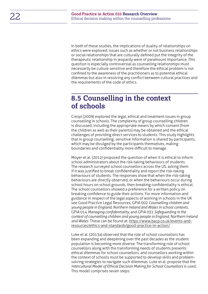In both of these studies, the implications of duality of relationships on ethics were explored; issues such as whether or not business relationships or social relationships that are culturally defined put the integrity of the therapeutic relationship in jeopardy were of paramount importance. This question is especially controversial as counselling relationships must necessarily be culture sensitive and therefore the ethical problem is not confined to the awareness of the practitioners as to potential ethical dilemmas but also in resolving any conflict between cultural practices and the requirements of the code of ethics.

### <span id="page-21-0"></span>**8.5 Counselling in the context of schools**

Crespi (2009) explored the legal, ethical and treatment issues in group counselling in schools. The complexity of group counselling children is discussed, including the appropriate means by which consent (from the children as well as their parents) may be obtained and the ethical challenges of providing direct services to students. This study highlights that in group counselling, sensitive information is shared by participants, which may be divulged by the participants themselves, making boundaries and confidentiality more difficult to manage.

Moyer et al. (2012) proposed the question of when it is ethical to inform school administrators about the risk-taking behaviours of students. The research surveyed school counsellors across the US, asking them if it was justified to break confidentiality and report the risk-taking behaviours of students. The responses show that when the risk-taking behaviours are directly observed, or when the behaviours occur during school hours on school grounds, then breaking confidentiality is ethical. The school counsellors showed a preference for a written policy on breaking confidence to guide their actions. For more information and guidance in respect of the legal aspects of working in schools in the UK see Good Practice Legal Resources; GPiA 002 *Counselling children and young people in England, Northern Ireland and Wales in school contexts*, GPiA 014 *Managing confidentiality*, and GPiA 031 *Safeguarding in the context of counselling children and young people in England, Northern Ireland and Wales*. These can be found at: [https://www.bacp.co.uk/events-and](https://www.bacp.co.uk/events-and-resources/ethics-and-standards/good-practice-in-action/)[resources/ethics-and-standards/good-practice-in-action/](https://www.bacp.co.uk/events-and-resources/ethics-and-standards/good-practice-in-action/)

Luke et al. (2013a) observed that the role of school counsellors has been expanding and deepening over the past decades as the student population is becoming more diverse. The transforming role of school counsellors along with the transforming needs of students presents ethical dilemmas for school counsellors, and counsellors working within the context of schools must be supported to develop skills and problemsolving strategies to navigate such dilemmas. Luke et al. propose that the *Intercultural Model of Ethical Decision Making for School Counsellors* is used. This model comprises seven steps: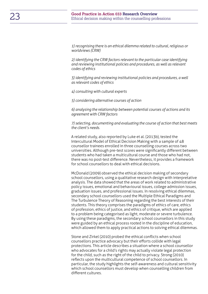*1) recognising there is an ethical dilemma related to cultural, religious or worldviews (CRW)* 

*2) identifying the CRW factors relevant to the particular case identifying and reviewing institutional policies and procedures, as well as relevant codes of ethics* 

*3) identifying and reviewing institutional policies and procedures, a well as relevant codes of ethics*

*4) consulting with cultural experts* 

*5) considering alternative courses of action* 

*6) analysing the relationship between potential courses of actions and its agreement with CRW factors* 

*7) selecting, documenting and evaluating the course of action that best meets the client's needs.* 

A related study, also reported by Luke et al. (2013b), tested the Intercultural Model of Ethical Decision Making with a sample of 48 counsellor trainees enrolled in three counselling courses across two universities. Although pre-test scores were significantly different between students who had taken a multicultural course and those who had not, there was no post-test difference. Nevertheless, it provides a framework for school counsellors to deal with ethical decisions.

McDonald (2009) observed the ethical decision making of secondary school counsellors, using a qualitative research design with interpretative analysis. The data showed that the areas of work related to administrative policy issues, emotional and behavioural issues, college admission issues, graduation issues, and professional issues. In resolving ethical dilemmas, secondary school counsellors used the Multiple Ethical Paradigms and The Turbulence Theory of Reasoning regarding the best interests of their students. This theory comprises the paradigms of ethics of care, ethics of profession, ethics of justice, and ethics of critique, which are applied to a problem being categorised as light, moderate or severe turbulence. By using these paradigms, the secondary school counsellors in this study were guided by an ethical process rooted in the discipline of education, which allowed them to apply practical actions to solving ethical dilemmas.

Stone and Zirkel (2010) probed the ethical conflicts when school counsellors practice advocacy but their efforts collide with legal protections. This article describes a situation where a school counsellor who advocates for a child's rights may actually violate legal protection for the child, such as the right of the child to privacy. Strong (2010) reflects upon the multicultural competence of school counsellors. In particular, the study highlights the self-awareness and cultural sensitivity which school counsellors must develop when counselling children from different cultures.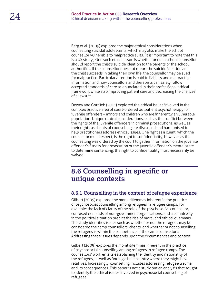Berg et al. (2009) explored the major ethical considerations when counselling suicidal adolescents, which may also make the school counsellor vulnerable to malpractice suits. (It is important to note that this is a US study.) One such ethical issue is whether or not a school counsellor should report the child's suicide ideation to the parents or the school authorities. If the counsellor does not report the suicide ideation and the child succeeds in taking their own life, the counsellor may be sued for malpractice. Particular attention is paid to liability and malpractice information and how counsellors and therapists can safely follow accepted standards of care as enunciated in their professional ethical framework while also improving patient care and decreasing the chances of a lawsuit.

Dewey and Gottlieb (2011) explored the ethical issues involved in the complex practice area of court-ordered outpatient psychotherapy for juvenile offenders – minors and children who are inherently a vulnerable population. Unique ethical considerations, such as the conflict between the rights of the juvenile offenders in criminal prosecutions, as well as their rights as clients of counselling are discussed and harmonised to help practitioners address ethical issues. One right as a client, which the counsellor must respect, is the right to confidentiality; however, as the counselling was ordered by the court to gather information on the juvenile offender's fitness for prosecution or the juvenile offender's mental state to determine sentencing, the right to confidentiality must necessarily be waived.

### <span id="page-23-0"></span>**8.6 Counselling in specific or unique contexts**

#### <span id="page-23-1"></span>**8.6.1 Counselling in the context of refugee experience**

Gilbert (2009) explored the moral dilemmas inherent in the practice of psychosocial counselling among refugees in refugee camps. For example: the lack of clarity of the role of the psychosocial counsellor, confused demands of non-government organisations, and a complexity in the political situation predict the rise of moral and ethical dilemmas. The study identifies issues such as whether or not the refugees may be considered the camp counsellors' clients, and whether or not counselling the refugees is within the competence of the camp counsellors. Addressing these issues depends upon the circumstances and context.

Gilbert (2009) explores the moral dilemmas inherent in the practice of psychosocial counselling among refugees in refugee camps. The counsellors' work entails establishing the identity and nationality of the refugees, as well as finding a host country where they might have relatives. Increasingly, counselling includes addressing refugee trauma and its consequences. This paper is not a study but an analysis that sought to identify the ethical issues involved in psychosocial counselling of refugees.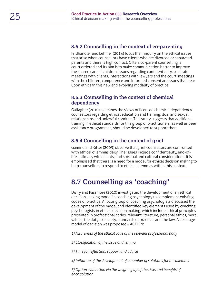### <span id="page-24-0"></span>**8.6.2 Counselling in the context of co-parenting**

Fridhandler and Lehmer (2014) focus their inquiry on the ethical issues that arise when counsellors have clients who are divorced or separated parents and there is high conflict. Often, co-parent counselling is court ordered and its aim is to make communication better to improve the shared care of children. Issues regarding confidentiality, separate meetings with clients, interactions with lawyers and the court, meetings with the children, competence and informed consent are issues that bear upon ethics in this new and evolving modality of practice.

#### <span id="page-24-1"></span>**8.6.3 Counselling in the context of chemical dependency**

Gallagher (2010) examines the views of licensed chemical dependency counsellors regarding ethical education and training, dual and sexual relationships and unlawful conduct. This study suggests that additional training in ethical standards for this group of practitioners, as well as peer assistance programmes, should be developed to support them.

### <span id="page-24-2"></span>**8.6.4 Counselling in the context of grief**

Gamino and Ritter (2009) observe that grief counsellors are confronted with ethical dilemmas daily. The issues include confidentiality, end-oflife, intimacy with clients, and spiritual and cultural considerations. It is emphasised that there is a need for a model for ethical decision making to help counsellors to respond to ethical dilemmas within this context.

## **8.7 Counselling as 'coaching'**

Duffy and Passmore (2010) investigated the development of an ethical decision-making model in coaching psychology to complement existing codes of practice. A focus group of coaching psychologists discussed the development of the model and identified key elements used by coaching psychologists in ethical decision making, which include ethical principles presented in professional codes, relevant literature, personal ethics, moral values, the duty to society, standards of practice, and the law. A six-stage model of decision was proposed – ACTION:

*1) Awareness of the ethical code of the relevant professional body* 

*2) Classification of the issue or dilemma* 

*3) Time for reflection, support and advice* 

*4) Initiation of the development of a number of solutions for the dilemma* 

*5) Option evaluation via the weighing up of the risks and benefits of each solution*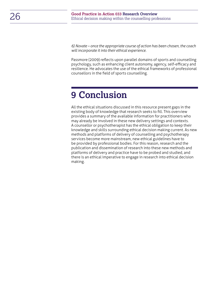*6) Novate – once the appropriate course of action has been chosen, the coach will incorporate it into their ethical experience.* 

Passmore (2009) reflects upon parallel domains of sports and counselling psychology, such as enhancing client autonomy, agency, self-efficacy and resilience. He advocates the use of the ethical frameworks of professional counsellors in the field of sports counselling.

## <span id="page-25-0"></span>**9 Conclusion**

All the ethical situations discussed in this resource present gaps in the existing body of knowledge that research seeks to fill. This overview provides a summary of the available information for practitioners who may already be involved in these new delivery settings and contexts. A counsellor or psychotherapist has the ethical obligation to keep their knowledge and skills surrounding ethical decision making current. As new methods and platforms of delivery of counselling and psychotherapy services become more mainstream, new ethical guidelines have to be provided by professional bodies. For this reason, research and the publication and dissemination of research into these new methods and platforms of delivery and practice have to be probed and studied, and there is an ethical imperative to engage in research into ethical decision making.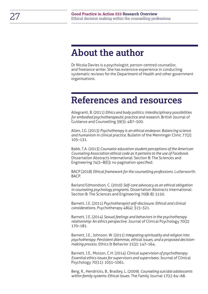## <span id="page-26-0"></span>**About the author**

Dr Nicola Davies is a psychologist, person-centred counsellor, and freelance writer. She has extensive experience in conducting systematic reviews for the Department of Health and other government organisations.

## **References and resources**

Allegranti, B. (2011) *Ethics and body politics: Interdisciplinary possibilities for embodied psychotherapeutic practice and research*. British Journal of Guidance and Counselling 39(5): 487–500.

Allen, J.G. (2013) *Psychotherapy is an ethical endeavor: Balancing science and humanism in clinical practice*. Bulletin of the Menninger Clinic 77(2): 103–131.

Babb, T.A. (2013) *Counselor education student perceptions of the American Counseling Association ethical code as it pertains to the use of Facebook*. Dissertation Abstracts International: Section B: The Sciences and Engineering 74(5–B(E)): no pagination specified.

BACP (2018) *Ethical framework for the counselling professions*. Lutterworth: BACP.

Barland Edmondson, C. (2010) *Self-care advocacy as an ethical obligation in counseling psychology programs*. Dissertation Abstracts International: Section B: The Sciences and Engineering 70(8-B): 5150.

Barnett, J.E. (2011) *Psychotherapist self-disclosure: Ethical and clinical considerations.* Psychotherapy 48(4): 315–321.

Barnett, J.E. (2014) *Sexual feelings and behaviors in the psychotherapy relationship: An ethics perspective*. Journal of Clinical Psychology 70(2): 170–181.

Barnett, J.E., Johnson, W. (2011) *Integrating spirituality and religion into psychotherapy: Persistent dilemmas, ethical issues, and a proposed decision*making process. Ethics & Behavior 21(2): 147-164.

Barnett, J.E., Molzon, C.H. (2014) *Clinical supervision of psychotherapy: Essential ethics issues for supervisors and supervisees*. Journal of Clinical Psychology 70(11): 1051–1061.

Berg, R., Hendricks, B., Bradley, L. (2009). *Counseling suicidal adolescents within family systems: Ethical issues*. The Family Journal 17(1): 64–68.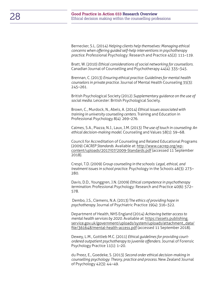Bernecker, S.L. (2014) *Helping clients help themselves: Managing ethical concerns when offering guided self-help interventions in psychotherapy practice.* Professional Psychology: Research and Practice 45(2): 111–119.

Bratt, W. (2010) *Ethical considerations of social networking for counsellors.* Canadian Journal of Counselling and Psychotherapy 44(4): 335–345.

Brennan, C. (2013) *Ensuring ethical practice: Guidelines for mental health counselors in private practice.* Journal of Mental Health Counseling 35(3): 245–261.

British Psychological Society (2012) *Supplementary guidance on the use of social media.* Leicester: British Psychological Society.

Brown, C., Murdock, N., Abels, A. (2014) *Ethical issues associated with training in university counseling centers.* Training and Education in Professional Psychology 8(4): 269–276.

Calmes, S.A., Piazza, N.J., Laux, J.M. (2013) *The use of touch in counseling: An ethical decision-making model.* Counseling and Values 58(1): 59–68.

Council for Accreditation of Counseling and Related Educational Programs (2009) *CACREP Standards*. Available at: [http://www.cacrep.org/wp](http://www.cacrep.org/wp-content/uploads/2017/07/2009-Standards.pdf)[content/uploads/2017/07/2009-Standards.pdf](http://www.cacrep.org/wp-content/uploads/2017/07/2009-Standards.pdf) (accessed 11 September 2018).

Crespi, T.D. (2009) *Group counseling in the schools: Legal, ethical, and treatment issues in school practice.* Psychology in the Schools 46(3): 273– 280.

Davis, D.D., Younggren, J.N. (2009) *Ethical competence in psychotherapy termination.* Professional Psychology: Research and Practice 40(6): 572– 578.

 Dembo, J.S., Clemens, N.A. (2013) T*he ethics of providing hope in psychotherapy.* Journal of Psychiatric Practice 19(4): 316–322.

Department of Health, NHS England (2014) *Achieving better access to mental health services by 2020.* Available at: [https://assets.publishing.](https://assets.publishing.service.gov.uk/government/uploads/system/uploads/attachment_data/file/361648/mental-health-access.pdf) [service.gov.uk/government/uploads/system/uploads/attachment\\_data/](https://assets.publishing.service.gov.uk/government/uploads/system/uploads/attachment_data/file/361648/mental-health-access.pdf) [file/361648/mental-health-access.pdf](https://assets.publishing.service.gov.uk/government/uploads/system/uploads/attachment_data/file/361648/mental-health-access.pdf) (accessed 11 September 2018).

Dewey, L.M., Gottlieb M.C. (2011) *Ethical guidelines for providing courtordered outpatient psychotherapy to juvenile offenders.* Journal of Forensic Psychology Practice 11(1): 1–20.

du Preez, E., Goedeke, S. (2013) *Second order ethical decision-making in counselling psychology: Theory, practice and process.* New Zealand Journal of Psychology 42(3): 44–49.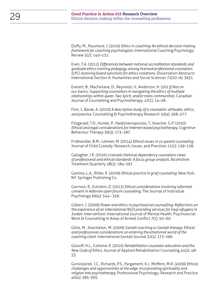Duffy, M., Passmore, J. (2010) *Ethics in coaching: An ethical decision making framework for coaching psychologists.* International Coaching Psychology Review 5(2): 140–151.

Even, T.A. (2012) *Differences between national accreditation standards and graduate ethics training pedagogy among licensed professional counselors (LPC) receiving board sanctions for ethics violations.* Dissertation Abstracts International Section A: Humanities and Social Sciences 72(10–A): 3631.

Everett, B., MacFarlane, D., Reynolds, V., Anderson, H. (2013) Not on our backs: *Supporting counsellors in navigating the ethics of multiple relationships within queer, Two Spirit, and/or trans communities.* Canadian Journal of Counselling and Psychotherapy, 47(1), 14–28.

Finn, J., Barak, A. (2010) *A descriptive study of e-counsellor attitudes, ethics, and practice.* Counselling & Psychotherapy Research 10(4): 268–277.

Fitzgerald, T.D., Hunter, P., Hadjistavropoulos, T., Koocher, G.P. (2010) *Ethical and legal considerations for internet-based psychotherapy.* Cognitive Behaviour Therapy 39(3): 173–187.

Fridhandler, B.M., Lehmer, M. (2014) *Ethical issues in co-parent counseling.*  Journal of Child Custody: Research, Issues, and Practices 11(2): 139–158.

Gallagher, J.R. (2010) *Licensed chemical dependency counselors views of professional and ethical standards: A focus group analysis.* Alcoholism Treatment Quarterly 28(2): 184–197.

Gamino, L.A., Ritter, R. (2009) *Ethical practice in grief counseling.* New York, NY: Springer Publishing Co.

Garrison, R., Eckstein, D. (2013) *Ethical considerations involving informed consent in Adlerian open forum counseling.* The Journal of Individual Psychology 69(4): 344– 356.

Gilbert, J. (2009) *Power and ethics in psychosocial counselling: Reflections on the experience of an international NGO providing services for Iraqi refugees in Jordan.* Intervention: International Journal of Mental Health, Psychosocial Work & Counselling in Areas of Armed Conflict 7(1): 50–60.

Gillie, M., Shackleton, M. (2009) *Gestalt coaching or Gestalt therapy: Ethical and professional considerations on entering the emotional world of the coaching client.* International Gestalt Journal 32(1): 173–196.

Glosoff, H.L., Cottone, R. (2010) *Rehabilitation counselor education and the New Code of Ethics.* Journal of Applied Rehabilitation Counseling 41(2): 48- 53.

Gonsiojorek, J.C., Richards, P.S., Pargament, K.I., McMinn, M.R. (2009) *Ethical challenges and opportunities at the edge: Incorporating spirituality and religion into psychotherapy.* Professional Psychology: Research and Practice 40(4): 385–395.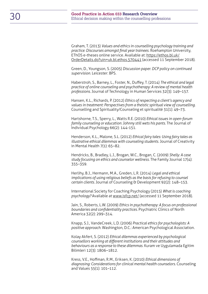Graham, T. (2013) *Values and ethics in counselling psychology training and practice: Discourses amongst final year trainees.* Roehampton University, EThOS e-theses online service. Available at: [https://ethos.bl.uk/](https://ethos.bl.uk/OrderDetails.do?uin=uk.bl.ethos.570441) [OrderDetails.do?uin=uk.bl.ethos.570441](https://ethos.bl.uk/OrderDetails.do?uin=uk.bl.ethos.570441) (accessed 11 September 2018).

Green, D., Youngson, S. (2005) *Discussion paper. DCP policy on continued supervision.* Leicester: BPS.

Haberstroh, S., Barney, L., Foster, N., Duffey, T. (2014) *The ethical and legal practice of online counseling and psychotherapy: A review of mental health professions.* Journal of Technology in Human Services 32(3): 149–157.

Hansen, K.L., Richards, P. (2012) *Ethics of respecting a client's agency and values in treatment: Perspectives from a theistic spiritual view of counselling.* Counselling and Spirituality/Counseling et spiritualité 31(1): 49–73.

Hartshorne, T.S., Sperry, L., Watts R.E. (2010) *Ethical issues in open-forum family counseling or education: Johnny still wets his pants.* The Journal of Individual Psychology 66(2): 144-151.

Henderson, K.L., Malone, S.L. (2012) *Ethical fairy tales: Using fairy tales as illustrative ethical dilemmas with counseling students.* Journal of Creativity in Mental Health 7(1): 65–82.

Hendricks, B., Bradley, L.J., Brogan, W.C., Brogan, C. (2009) *Shelly: A case study focusing on ethics and counselor wellness.* The Family Journal 17(4): 355–359.

Herlihy, B.J., Hermann, M.A., Greden, L.R. (2014) *Legal and ethical implications of using religious beliefs as the basis for refusing to counsel certain clients.* Journal of Counseling & Development 92(2): 148–153.

International Society for Coaching Psychology (2015) *What is coaching psychology?* Available at [www.isfcp.net/](http://www.isfcp.net/) (accessed 11 September 2018).

Jain, S., Roberts, L.W. (2009) *Ethics in psychotherapy: A focus on professional boundaries and confidentiality practices.* Psychiatric Clinics of North America 32(2): 299–314.

Knapp, S.J., VandeCreek, L.D. (2006) *Practical ethics for psychologists: A positive approach.* Washington, D.C.: American Psychological Association.

Kolay Akfert, S. (2012) *Ethical dilemmas experienced by psychological counsellors working at different institutions and their attitudes and behaviours as a response to these dilemmas.* Kuram ve Uygulamada Egitim Bilimleri 12(3): 1806–1812.

Kress, V.E., Hoffman, R.M., Eriksen, K. (2010) *Ethical dimensions of diagnosing: Considerations for clinical mental health counselors.* Counseling and Values 55(1): 101–112.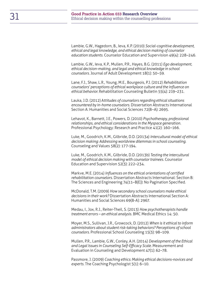Lambie, G.W., Hagedorn, B., Ieva, K.P. (2010) *Social-cognitive development, ethical and legal knowledge, and ethical decision making of counselor education students*. Counselor Education and Supervision 49(4): 228–246.

Lambie, G.W., Ieva, K.P., Mullen, P.R., Hayes, B.G. (2011) *Ego development, ethical decision-making, and legal and ethical knowledge in school counselors.* Journal of Adult Development 18(1): 50–59.

Lane, F.J., Shaw, L.R., Young, M.E., Bourgeois, P.J. (2012) *Rehabilitation counselors' perceptions of ethical workplace culture and the influence on ethical behavior.* Rehabilitation Counseling Bulletin 55(4): 219–231.

Lauka, J.D. (2012) A*ttitudes of counselors regarding ethical situations encountered by in-home counselors.* Dissertation Abstracts International Section A: Humanities and Social Sciences 72(8–A): 2695.

Lehavot, K., Barnett, J.E., Powers, D. (2010) *Psychotherapy, professional relationships, and ethical considerations in the Myspace generation.*  Professional Psychology: Research and Practice 41(2): 160–166.

Luke, M., Goodrich, K.M., Gilbride, D.D. (2013a) *Intercultural model of ethical decision making: Addressing worldview dilemmas in school counseling.* Counseling and Values 58(2): 177-194.

Luke, M., Goodrich, K.M., Gilbride, D.D. (2013b) *Testing the intercultural model of ethical decision making with counselor trainees.* Counselor Education and Supervision 52(3): 222–234.

Markve, M.E. (2014) *Influences on the ethical orientations of certified rehabilitation counselors.* Dissertation Abstracts International: Section B: The Sciences and Engineering 74(11–B(E)): No Pagination Specified.

McDonald, T.M. (2009) *How secondary school counselors make ethical decisions in their work?* Dissertation Abstracts International Section A: Humanities and Social Sciences 69(8-A): 2967.

Medau, I., Jox, R.J., Reiter-Theil, S. (2013) *How psychotherapists handle treatment errors – an ethical analysis.* BMC Medical Ethics 14: 50.

Moyer, M.S., Sullivan, J.R., Growcock, D. (2012) *When is it ethical to inform administrators about student risk-taking behaviors? Perceptions of school counselors.* Professional School Counseling 15(3): 98–109.

Mullen, P.R., Lambie, G.W., Conley, A.H. (2014) *Development of the Ethical and Legal Issues in Counseling Self-Efficacy Scale.* Measurement and Evaluation in Counseling and Development 47(1): 62–78.

Passmore, J. (2009) *Coaching ethics: Making ethical decisions-novices and experts.* The Coaching Psychologist 5(1): 6–10.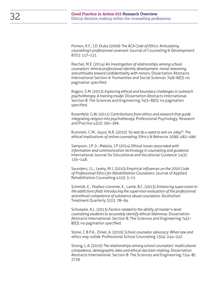Ponton, R.F., J.D. Duba (2009) *The ACA Code of Ethics: Articulating counseling's professional covenant.* Journal of Counseling & Development 87(1): 117–121.

Riechel, M.E. (2014) *An investigation of relationships among school counselors' ethical professional identity development, moral reasoning, and attitudes toward confidentiality with minors.* Dissertation Abstracts International Section A: Humanities and Social Sciences 74(9-A(E)): no pagination specified.

Rogers, S.M. (2013) *Exploring ethical and boundary challenges in outreach psychotherapy: A training model.* Dissertation Abstracts International: Section B: The Sciences and Engineering 74(3–B(E)): no pagination specified.

Rosenfeld, G.W. (2011) *Contributions from ethics and research that guide integrating religion into psychotherapy.* Professional Psychology: Research and Practice 42(2): 192–199.

Rummell, C.M., Joyce, N.R. (2010) *'So wat do u want to wrk on 2day?': The ethical implications of online counseling.* Ethics & Behavior 20(6): 482–496.

Sampson, J.P. Jr., Makela, J.P. (2014) *Ethical issues associated with information and communication technology in counseling and guidance.*  International Journal for Educational and Vocational Guidance 14(1): 135–148.

Saunders, J.L., Leahy, M.J. (2010) *Empirical influences on the 2010 Code of Professional Ethics for Rehabilitation Counselors.* Journal of Applied Rehabilitation Counseling 41(2): 5–11.

Schmidt, E., Ybañez-Llorente, K., Lamb, B.C. (2013) *Enhancing supervision in the addictions field: Introducing the supervisor evaluation of the professional and ethical competence of substance abuse counselors.* Alcoholism Treatment Quarterly 31(1): 78–94.

Schoepke, A.L. (2013) *Factors related to the ability of master's-level counseling students to accurately identify ethical dilemmas.* Dissertation Abstracts International: Section B: The Sciences and Engineering 74(2– B(E)): no pagination specified.

Stone, C.B.P.A., Zirkel, A. (2010) *School counselor advocacy: When law and ethics may collide.* Professional School Counseling 13(4): 244–247.

Strong, L.A. (2010) *The relationships among school counselors' multicultural competence, demographic data and ethical decision-making.* Dissertation Abstracts International: Section B: The Sciences and Engineering 71(4–B): 2719.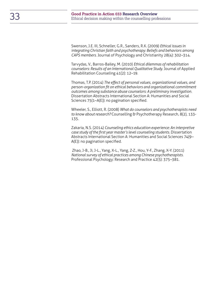Swenson, J.E. III, Schneller, G.R., Sanders, R.K. (2009) *Ethical issues in integrating Christian faith and psychotherapy: Beliefs and behaviors among CAPS members*. Journal of Psychology and Christianity 28(4): 302–314.

Tarvydas, V., Barros-Bailey, M. (2010) *Ethical dilemmas of rehabilitation counselors: Results of an International Qualitative Study.* Journal of Applied Rehabilitation Counseling 41(2): 12–19.

Thomas, T.P. (2014) *The effect of personal values, organizational values, and person-organization fit on ethical behaviors and organizational commitment outcomes among substance abuse counselors: A preliminary investigation.* Dissertation Abstracts International Section A: Humanities and Social Sciences 75(1–A(E)): no pagination specified.

Wheeler, S., Elliott, R. (2008) *What do counselors and psychotherapists need to know about research?* Counselling & Psychotherapy Research, 8(2), 133- 135.

Zakaria, N.S. (2014) *Counseling ethics education experience: An interpretive case study of the first year master's level counseling students.* Dissertation Abstracts International Section A: Humanities and Social Sciences 74(9– A(E)): no pagination specified.

 Zhao, J-B., Ji, J-L., Yang, X-L., Yang, Z-Z., Hou, Y-F., Zhang, X-Y. (2011) *National survey of ethical practices among Chinese psychotherapists.*  Professional Psychology: Research and Practice 42(5): 375–381.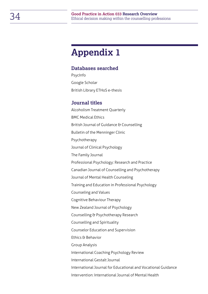## <span id="page-33-0"></span>**Appendix 1**

### **Databases searched**

PsycInfo Google Scholar British Library ETHoS e-thesis

### **Journal titles**

Alcoholism Treatment Quarterly BMC Medical Ethics British Journal of Guidance & Counselling Bulletin of the Menninger Clinic Psychotherapy Journal of Clinical Psychology The Family Journal Professional Psychology: Research and Practice Canadian Journal of Counselling and Psychotherapy Journal of Mental Health Counseling Training and Education in Professional Psychology Counseling and Values Cognitive Behaviour Therapy New Zealand Journal of Psychology Counselling & Psychotherapy Research Counselling and Spirituality Counselor Education and Supervision Ethics & Behavior Group Analysis International Coaching Psychology Review International Gestalt Journal International Journal for Educational and Vocational Guidance Intervention: International Journal of Mental Health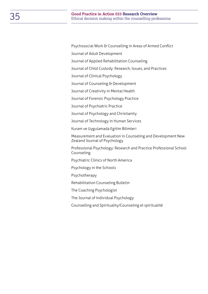Psychosocial Work & Counselling in Areas of Armed Conflict

Journal of Adult Development

Journal of Applied Rehabilitation Counseling

Journal of Child Custody: Research, Issues, and Practices

Journal of Clinical Psychology

Journal of Counseling & Development

Journal of Creativity in Mental Health

Journal of Forensic Psychology Practice

Journal of Psychiatric Practice

Journal of Psychology and Christianity

Journal of Technology in Human Services

Kuram ve Uygulamada Egitim Bilimleri

Measurement and Evaluation in Counseling and Development New Zealand Journal of Psychology

Professional Psychology: Research and Practice Professional School Counseling

Psychiatric Clinics of North America

Psychology in the Schools

Psychotherapy

Rehabilitation Counseling Bulletin

The Coaching Psychologist

The Journal of Individual Psychology

Counselling and Spirituality/Counseling et spiritualité